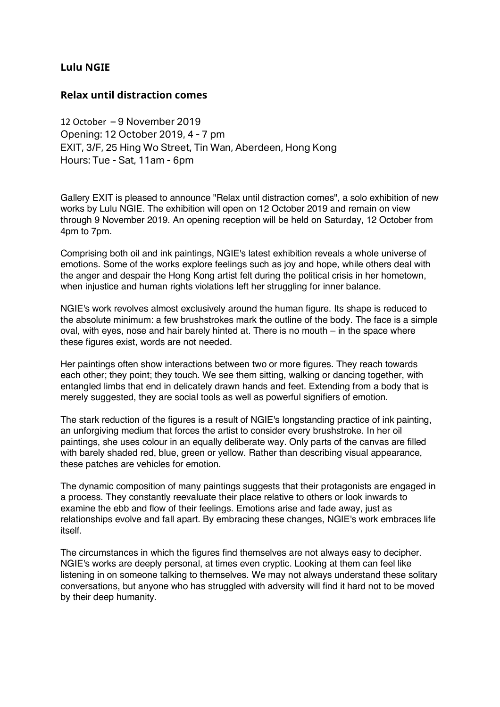## **Lulu NGIE**

## **Relax until distraction comes**

12 October – 9 November 2019 Opening: 12 October 2019, 4 - 7 pm EXIT, 3/F, 25 Hing Wo Street, Tin Wan, Aberdeen, Hong Kong Hours: Tue - Sat, 11am - 6pm

Gallery EXIT is pleased to announce "Relax until distraction comes", a solo exhibition of new works by Lulu NGIE. The exhibition will open on 12 October 2019 and remain on view through 9 November 2019. An opening reception will be held on Saturday, 12 October from 4pm to 7pm.

Comprising both oil and ink paintings, NGIE's latest exhibition reveals a whole universe of emotions. Some of the works explore feelings such as joy and hope, while others deal with the anger and despair the Hong Kong artist felt during the political crisis in her hometown, when injustice and human rights violations left her struggling for inner balance.

NGIE's work revolves almost exclusively around the human figure. Its shape is reduced to the absolute minimum: a few brushstrokes mark the outline of the body. The face is a simple oval, with eyes, nose and hair barely hinted at. There is no mouth – in the space where these figures exist, words are not needed.

Her paintings often show interactions between two or more figures. They reach towards each other; they point; they touch. We see them sitting, walking or dancing together, with entangled limbs that end in delicately drawn hands and feet. Extending from a body that is merely suggested, they are social tools as well as powerful signifiers of emotion.

The stark reduction of the figures is a result of NGIE's longstanding practice of ink painting, an unforgiving medium that forces the artist to consider every brushstroke. In her oil paintings, she uses colour in an equally deliberate way. Only parts of the canvas are filled with barely shaded red, blue, green or yellow. Rather than describing visual appearance, these patches are vehicles for emotion.

The dynamic composition of many paintings suggests that their protagonists are engaged in a process. They constantly reevaluate their place relative to others or look inwards to examine the ebb and flow of their feelings. Emotions arise and fade away, just as relationships evolve and fall apart. By embracing these changes, NGIE's work embraces life itself.

The circumstances in which the figures find themselves are not always easy to decipher. NGIE's works are deeply personal, at times even cryptic. Looking at them can feel like listening in on someone talking to themselves. We may not always understand these solitary conversations, but anyone who has struggled with adversity will find it hard not to be moved by their deep humanity.